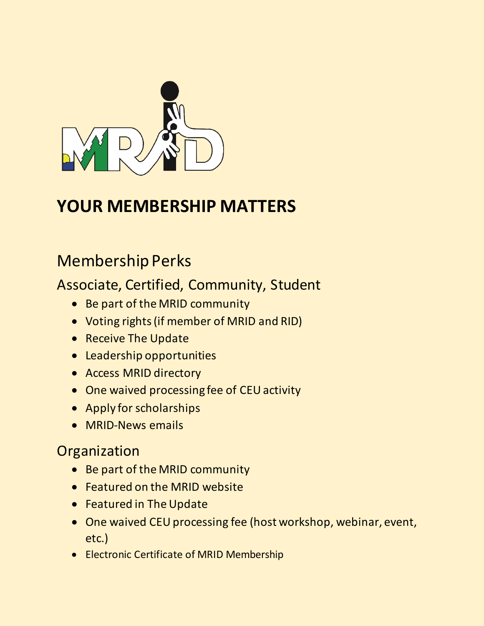

# **YOUR MEMBERSHIP MATTERS**

# Membership Perks

## Associate, Certified, Community, Student

- Be part of the MRID community
- Voting rights (if member of MRID and RID)
- Receive The Update
- Leadership opportunities
- Access MRID directory
- One waived processing fee of CEU activity
- Apply for scholarships
- MRID-News emails

### **Organization**

- Be part of the MRID community
- Featured on the MRID website
- Featured in The Update
- One waived CEU processing fee (host workshop, webinar, event, etc.)
- Electronic Certificate of MRID Membership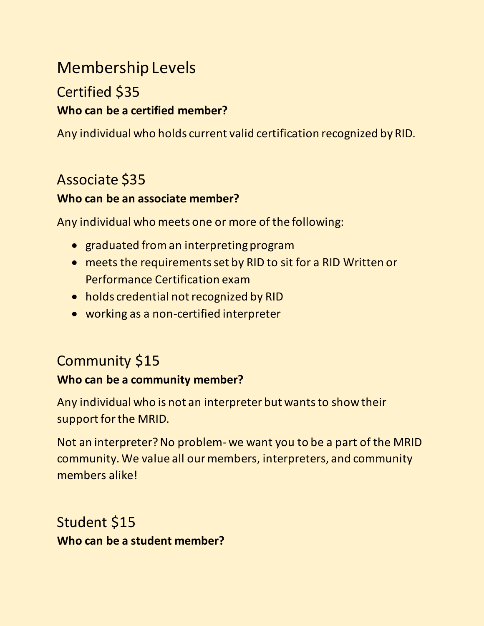# Membership Levels Certified \$35

## **Who can be a certified member?**

Any individual who holds current valid certification recognized by RID.

### Associate \$35

#### **Who can be an associate member?**

Any individual who meets one or more of the following:

- graduated from an interpreting program
- meets the requirements set by RID to sit for a RID Written or Performance Certification exam
- holds credential not recognized by RID
- working as a non-certified interpreter

## Community \$15

#### **Who can be a community member?**

Any individual who is not an interpreter but wants to show their support for the MRID.

Not an interpreter? No problem-we want you to be a part of the MRID community. We value all our members, interpreters, and community members alike!

Student \$15 **Who can be a student member?**